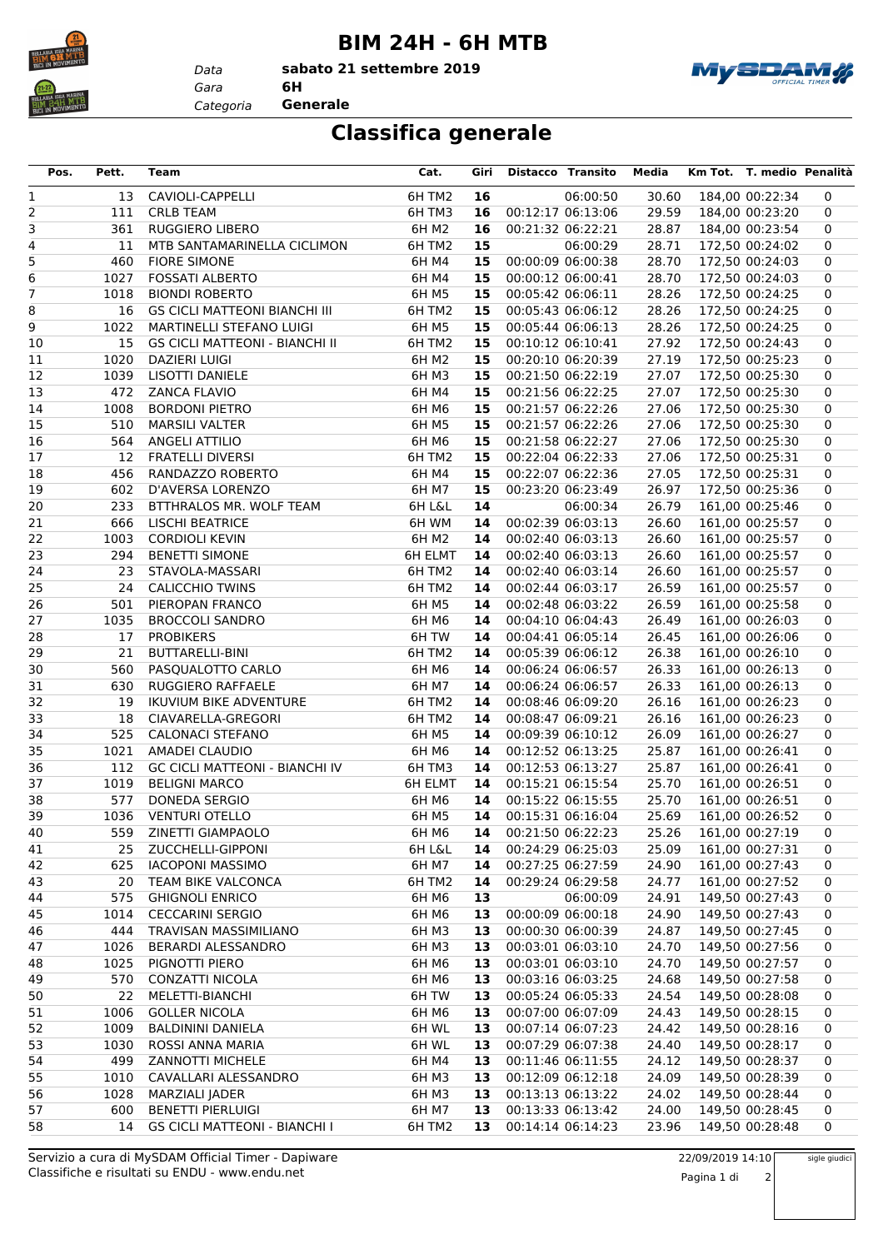

## **BIM 24H - 6H MTB**

*Gara* **6H sabato 21 settembre 2019**



*Categoria* **Generale**

*Data*

## **Classifica generale**

| Pos.     | Pett.       | Team                                          | Cat.           | Giri     | Distacco Transito |                   | Media          | Km Tot. T. medio Penalità          |        |
|----------|-------------|-----------------------------------------------|----------------|----------|-------------------|-------------------|----------------|------------------------------------|--------|
| 1        | 13          | CAVIOLI-CAPPELLI                              | 6H TM2         | 16       |                   | 06:00:50          | 30.60          | 184,00 00:22:34                    | 0      |
| 2        | 111         | <b>CRLB TEAM</b>                              | 6HTM3          | 16       | 00:12:17 06:13:06 |                   | 29.59          | 184,00 00:23:20                    | 0      |
| 3        | 361         | <b>RUGGIERO LIBERO</b>                        | 6H M2          | 16       | 00:21:32 06:22:21 |                   | 28.87          | 184,00 00:23:54                    | 0      |
| 4        | 11          | MTB SANTAMARINELLA CICLIMON                   | 6HTM2          | 15       |                   | 06:00:29          | 28.71          | 172,50 00:24:02                    | 0      |
| 5        | 460         | <b>FIORE SIMONE</b>                           | 6H M4          | 15       |                   | 00:00:09 06:00:38 | 28.70          | 172,50 00:24:03                    | 0      |
| 6        | 1027        | <b>FOSSATI ALBERTO</b>                        | 6H M4          | 15       |                   | 00:00:12 06:00:41 | 28.70          | 172,50 00:24:03                    | 0      |
| 7        | 1018        | <b>BIONDI ROBERTO</b>                         | 6H M5          | 15       | 00:05:42 06:06:11 |                   | 28.26          | 172,50 00:24:25                    | 0      |
| 8        | 16          | <b>GS CICLI MATTEONI BIANCHI III</b>          | 6H TM2         | 15       | 00:05:43 06:06:12 |                   | 28.26          | 172,50 00:24:25                    | 0      |
| 9        | 1022        | MARTINELLI STEFANO LUIGI                      | 6H M5          | 15       | 00:05:44 06:06:13 |                   | 28.26          | 172,50 00:24:25                    | 0      |
| 10       | 15          | <b>GS CICLI MATTEONI - BIANCHI II</b>         | 6H TM2         | 15       | 00:10:12 06:10:41 |                   | 27.92          | 172,50 00:24:43                    | 0      |
| 11       | 1020        | DAZIERI LUIGI                                 | 6H M2          | 15       |                   | 00:20:10 06:20:39 | 27.19          | 172,50 00:25:23                    | 0      |
| 12       | 1039        | LISOTTI DANIELE                               | 6H M3          | 15       |                   | 00:21:50 06:22:19 | 27.07          | 172,50 00:25:30                    | 0      |
| 13       | 472         | ZANCA FLAVIO                                  | 6H M4          | 15       | 00:21:56 06:22:25 |                   | 27.07          | 172,50 00:25:30                    | 0      |
| 14       | 1008        | <b>BORDONI PIETRO</b>                         | 6H M6          | 15       | 00:21:57 06:22:26 |                   | 27.06          | 172,50 00:25:30                    | 0      |
| 15       | 510         | <b>MARSILI VALTER</b>                         | 6H M5          | 15       | 00:21:57 06:22:26 |                   | 27.06          | 172,50 00:25:30                    | 0      |
| 16       | 564         | ANGELI ATTILIO                                | 6H M6          | 15       | 00:21:58 06:22:27 |                   | 27.06          | 172,50 00:25:30                    | 0      |
| 17       | 12          | <b>FRATELLI DIVERSI</b>                       | 6H TM2         | 15       |                   | 00:22:04 06:22:33 | 27.06          | 172,50 00:25:31                    | 0      |
| 18       | 456         | RANDAZZO ROBERTO                              | 6H M4          | 15       |                   | 00:22:07 06:22:36 | 27.05          | 172,50 00:25:31                    | 0      |
| 19       | 602         | D'AVERSA LORENZO                              | 6H M7          | 15       |                   | 00:23:20 06:23:49 | 26.97          | 172,50 00:25:36                    | 0      |
| 20       | 233         | BTTHRALOS MR. WOLF TEAM                       | 6H L&L         | 14       |                   | 06:00:34          | 26.79          | 161,00 00:25:46                    | 0      |
| 21       | 666         | <b>LISCHI BEATRICE</b>                        | 6H WM          | 14       | 00:02:39 06:03:13 |                   | 26.60          | 161,00 00:25:57                    | 0      |
| 22       | 1003        | <b>CORDIOLI KEVIN</b>                         | 6H M2          | 14       | 00:02:40 06:03:13 |                   | 26.60          | 161,00 00:25:57                    | 0      |
| 23       | 294         | <b>BENETTI SIMONE</b>                         | 6H ELMT        | 14       |                   | 00:02:40 06:03:13 | 26.60          | 161,00 00:25:57                    | 0      |
| 24       | 23          | STAVOLA-MASSARI                               | 6H TM2         | 14       |                   | 00:02:40 06:03:14 | 26.60          | 161,00 00:25:57                    | 0      |
| 25       | 24          | <b>CALICCHIO TWINS</b>                        | 6H TM2         | 14       | 00:02:44 06:03:17 |                   | 26.59          | 161,00 00:25:57                    | 0      |
| 26       | 501         | PIEROPAN FRANCO                               | 6H M5          | 14       | 00:02:48 06:03:22 |                   | 26.59          | 161,00 00:25:58                    | 0      |
| 27       | 1035        | <b>BROCCOLI SANDRO</b>                        | 6H M6          | 14       | 00:04:10 06:04:43 |                   | 26.49          | 161,00 00:26:03                    | 0      |
| 28       | 17          | <b>PROBIKERS</b>                              | 6H TW          | 14       | 00:04:41 06:05:14 |                   | 26.45          | 161,00 00:26:06                    | 0      |
| 29       | 21          | BUTTARELLI-BINI                               | 6H TM2         | 14       |                   | 00:05:39 06:06:12 | 26.38          | 161,00 00:26:10                    | 0      |
| 30       | 560         | PASQUALOTTO CARLO                             | 6H M6          | 14       |                   | 00:06:24 06:06:57 | 26.33          | 161,00 00:26:13                    | 0      |
| 31       | 630         | RUGGIERO RAFFAELE                             | 6H M7          | 14       | 00:06:24 06:06:57 |                   | 26.33          | 161,00 00:26:13                    | 0      |
| 32       | 19<br>18    | <b>IKUVIUM BIKE ADVENTURE</b>                 | 6H TM2         | 14       | 00:08:46 06:09:20 |                   | 26.16          | 161,00 00:26:23                    | 0      |
| 33       |             | CIAVARELLA-GREGORI<br><b>CALONACI STEFANO</b> | 6H TM2         | 14<br>14 | 00:08:47 06:09:21 |                   | 26.16<br>26.09 | 161,00 00:26:23                    | 0      |
| 34<br>35 | 525<br>1021 | AMADEI CLAUDIO                                | 6H M5<br>6H M6 | 14       | 00:09:39 06:10:12 | 00:12:52 06:13:25 | 25.87          | 161,00 00:26:27<br>161,00 00:26:41 | 0<br>0 |
| 36       | 112         | <b>GC CICLI MATTEONI - BIANCHI IV</b>         | 6H TM3         | 14       |                   | 00:12:53 06:13:27 | 25.87          | 161,00 00:26:41                    | 0      |
| 37       | 1019        | <b>BELIGNI MARCO</b>                          | 6H ELMT        | 14       | 00:15:21 06:15:54 |                   | 25.70          | 161,00 00:26:51                    | 0      |
| 38       | 577         | DONEDA SERGIO                                 | 6H M6          | 14       | 00:15:22 06:15:55 |                   | 25.70          | 161,00 00:26:51                    | 0      |
| 39       | 1036        | <b>VENTURI OTELLO</b>                         | 6H M5          | 14       | 00:15:31 06:16:04 |                   | 25.69          | 161,00 00:26:52                    | 0      |
| 40       |             | 559 ZINETTI GIAMPAOLO                         | 6H M6          | 14       |                   | 00:21:50 06:22:23 | 25.26          | 161,00 00:27:19                    | 0      |
| 41       |             | 25 ZUCCHELLI-GIPPONI                          | 6H L&L         | 14       | 00:24:29 06:25:03 |                   | 25.09          | 161,00 00:27:31                    | 0      |
| 42       | 625         | <b>IACOPONI MASSIMO</b>                       | 6H M7          | 14       |                   | 00:27:25 06:27:59 | 24.90          | 161,00 00:27:43                    | 0      |
| 43       | 20          | TEAM BIKE VALCONCA                            | 6H TM2         | 14       | 00:29:24 06:29:58 |                   | 24.77          | 161,00 00:27:52                    | 0      |
| 44       | 575         | <b>GHIGNOLI ENRICO</b>                        | 6H M6          | 13       |                   | 06:00:09          | 24.91          | 149,50 00:27:43                    | 0      |
| 45       | 1014        | <b>CECCARINI SERGIO</b>                       | 6H M6          | 13       | 00:00:09 06:00:18 |                   | 24.90          | 149,50 00:27:43                    | 0      |
| 46       | 444         | TRAVISAN MASSIMILIANO                         | 6H M3          | 13       | 00:00:30 06:00:39 |                   | 24.87          | 149,50 00:27:45                    | 0      |
| 47       | 1026        | BERARDI ALESSANDRO                            | 6H M3          | 13       | 00:03:01 06:03:10 |                   | 24.70          | 149,50 00:27:56                    | 0      |
| 48       | 1025        | PIGNOTTI PIERO                                | 6H M6          | 13       | 00:03:01 06:03:10 |                   | 24.70          | 149,50 00:27:57                    | 0      |
| 49       | 570         | CONZATTI NICOLA                               | 6H M6          | 13       | 00:03:16 06:03:25 |                   | 24.68          | 149,50 00:27:58                    | 0      |
| 50       | 22          | MELETTI-BIANCHI                               | 6H TW          | 13       | 00:05:24 06:05:33 |                   | 24.54          | 149,50 00:28:08                    | 0      |
| 51       | 1006        | <b>GOLLER NICOLA</b>                          | 6H M6          | 13       | 00:07:00 06:07:09 |                   | 24.43          | 149,50 00:28:15                    | 0      |
| 52       | 1009        | <b>BALDININI DANIELA</b>                      | 6H WL          | 13       | 00:07:14 06:07:23 |                   | 24.42          | 149,50 00:28:16                    | 0      |
| 53       | 1030        | ROSSI ANNA MARIA                              | 6H WL          | 13       | 00:07:29 06:07:38 |                   | 24.40          | 149,50 00:28:17                    | 0      |
| 54       | 499         | <b>ZANNOTTI MICHELE</b>                       | 6H M4          | 13       | 00:11:46 06:11:55 |                   | 24.12          | 149,50 00:28:37                    | 0      |
| 55       | 1010        | CAVALLARI ALESSANDRO                          | 6H M3          | 13       | 00:12:09 06:12:18 |                   | 24.09          | 149,50 00:28:39                    | 0      |
| 56       | 1028        | <b>MARZIALI JADER</b>                         | 6H M3          | 13       | 00:13:13 06:13:22 |                   | 24.02          | 149,50 00:28:44                    | 0      |
| 57       | 600         | <b>BENETTI PIERLUIGI</b>                      | 6H M7          | 13       | 00:13:33 06:13:42 |                   | 24.00          | 149,50 00:28:45                    | 0      |
| 58       | 14          | <b>GS CICLI MATTEONI - BIANCHI I</b>          | 6H TM2         | 13       | 00:14:14 06:14:23 |                   | 23.96          | 149,50 00:28:48                    | 0      |

sigle giudici